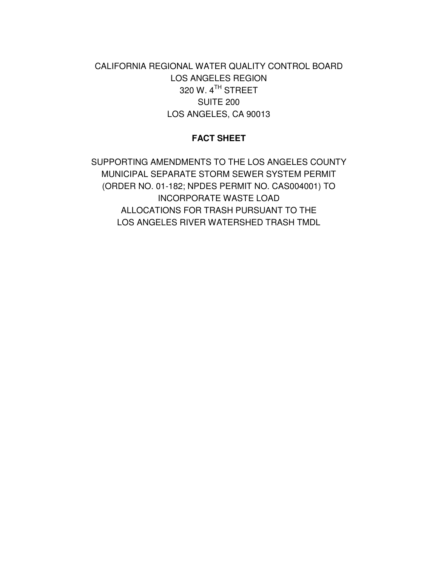CALIFORNIA REGIONAL WATER QUALITY CONTROL BOARD LOS ANGELES REGION 320 W.  $4^{\textsf{TH}}$  STREET SUITE 200 LOS ANGELES, CA 90013

## **FACT SHEET**

SUPPORTING AMENDMENTS TO THE LOS ANGELES COUNTY MUNICIPAL SEPARATE STORM SEWER SYSTEM PERMIT (ORDER NO. 01-182; NPDES PERMIT NO. CAS004001) TO INCORPORATE WASTE LOAD ALLOCATIONS FOR TRASH PURSUANT TO THE LOS ANGELES RIVER WATERSHED TRASH TMDL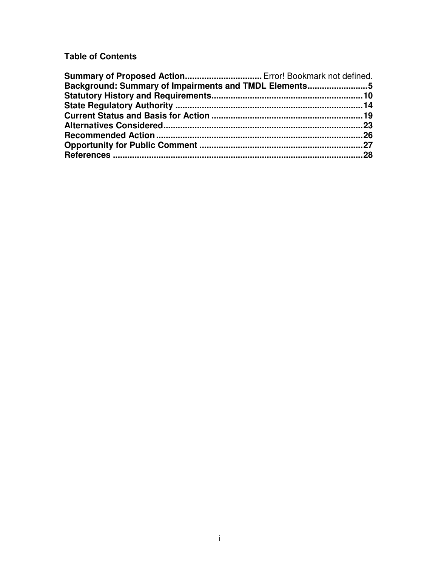# **Table of Contents**

| Summary of Proposed Action Error! Bookmark not defined. |  |
|---------------------------------------------------------|--|
| Background: Summary of Impairments and TMDL Elements5   |  |
|                                                         |  |
|                                                         |  |
|                                                         |  |
|                                                         |  |
|                                                         |  |
|                                                         |  |
|                                                         |  |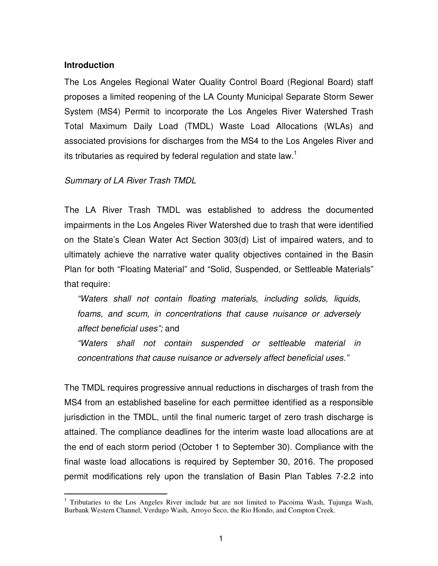#### **Introduction**

The Los Angeles Regional Water Quality Control Board (Regional Board) staff proposes a limited reopening of the LA County Municipal Separate Storm Sewer System (MS4) Permit to incorporate the Los Angeles River Watershed Trash Total Maximum Daily Load (TMDL) Waste Load Allocations (WLAs) and associated provisions for discharges from the MS4 to the Los Angeles River and its tributaries as required by federal regulation and state law.<sup>1</sup>

#### *Summary of LA River Trash TMDL*

The LA River Trash TMDL was established to address the documented impairments in the Los Angeles River Watershed due to trash that were identified on the State's Clean Water Act Section 303(d) List of impaired waters, and to ultimately achieve the narrative water quality objectives contained in the Basin Plan for both "Floating Material" and "Solid, Suspended, or Settleable Materials" that require:

*"Waters shall not contain floating materials, including solids, liquids, foams, and scum, in concentrations that cause nuisance or adversely affect beneficial uses";* and

*"Waters shall not contain suspended or settleable material in concentrations that cause nuisance or adversely affect beneficial uses."*

The TMDL requires progressive annual reductions in discharges of trash from the MS4 from an established baseline for each permittee identified as a responsible jurisdiction in the TMDL, until the final numeric target of zero trash discharge is attained. The compliance deadlines for the interim waste load allocations are at the end of each storm period (October 1 to September 30). Compliance with the final waste load allocations is required by September 30, 2016. The proposed permit modifications rely upon the translation of Basin Plan Tables 7-2.2 into

<sup>&</sup>lt;sup>1</sup> Tributaries to the Los Angeles River include but are not limited to Pacoima Wash, Tujunga Wash, Burbank Western Channel, Verdugo Wash, Arroyo Seco, the Rio Hondo, and Compton Creek.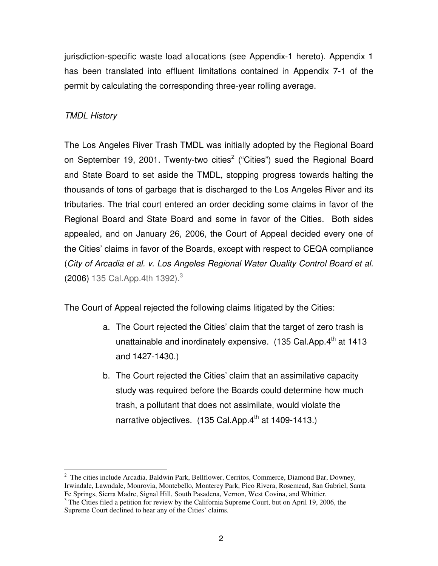jurisdiction-specific waste load allocations (see Appendix-1 hereto). Appendix 1 has been translated into effluent limitations contained in Appendix 7-1 of the permit by calculating the corresponding three-year rolling average.

# *TMDL History*

The Los Angeles River Trash TMDL was initially adopted by the Regional Board on September 19, 2001. Twenty-two cities<sup>2</sup> ("Cities") sued the Regional Board and State Board to set aside the TMDL, stopping progress towards halting the thousands of tons of garbage that is discharged to the Los Angeles River and its tributaries. The trial court entered an order deciding some claims in favor of the Regional Board and State Board and some in favor of the Cities. Both sides appealed, and on January 26, 2006, the Court of Appeal decided every one of the Cities' claims in favor of the Boards, except with respect to CEQA compliance (*City of Arcadia et al. v. Los Angeles Regional Water Quality Control Board et al.* (2006) 135 Cal.App.4th 1392). 3

The Court of Appeal rejected the following claims litigated by the Cities:

- a. The Court rejected the Cities' claim that the target of zero trash is unattainable and inordinately expensive. (135 Cal.App.4<sup>th</sup> at 1413 and 1427-1430.)
- b. The Court rejected the Cities' claim that an assimilative capacity study was required before the Boards could determine how much trash, a pollutant that does not assimilate, would violate the narrative objectives. (135 Cal.App.4<sup>th</sup> at 1409-1413.)

<sup>&</sup>lt;sup>2</sup> The cities include Arcadia, Baldwin Park, Bellflower, Cerritos, Commerce, Diamond Bar, Downey, Irwindale, Lawndale, Monrovia, Montebello, Monterey Park, Pico Rivera, Rosemead, San Gabriel, Santa Fe Springs, Sierra Madre, Signal Hill, South Pasadena, Vernon, West Covina, and Whittier.

<sup>&</sup>lt;sup>3</sup> The Cities filed a petition for review by the California Supreme Court, but on April 19, 2006, the Supreme Court declined to hear any of the Cities' claims.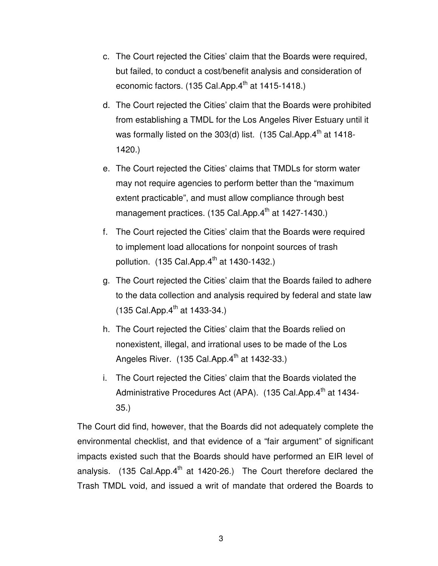- c. The Court rejected the Cities' claim that the Boards were required, but failed, to conduct a cost/benefit analysis and consideration of economic factors. (135 Cal.App.4<sup>th</sup> at 1415-1418.)
- d. The Court rejected the Cities' claim that the Boards were prohibited from establishing a TMDL for the Los Angeles River Estuary until it was formally listed on the 303(d) list. (135 Cal.App.4<sup>th</sup> at 1418-1420.)
- e. The Court rejected the Cities' claims that TMDLs for storm water may not require agencies to perform better than the "maximum extent practicable", and must allow compliance through best management practices. (135 Cal.App.4<sup>th</sup> at 1427-1430.)
- f. The Court rejected the Cities' claim that the Boards were required to implement load allocations for nonpoint sources of trash pollution. (135 Cal.App.4<sup>th</sup> at 1430-1432.)
- g. The Court rejected the Cities' claim that the Boards failed to adhere to the data collection and analysis required by federal and state law (135 Cal.App.4<sup>th</sup> at 1433-34.)
- h. The Court rejected the Cities' claim that the Boards relied on nonexistent, illegal, and irrational uses to be made of the Los Angeles River. (135 Cal.App.4<sup>th</sup> at 1432-33.)
- i. The Court rejected the Cities' claim that the Boards violated the Administrative Procedures Act (APA). (135 Cal.App.4<sup>th</sup> at 1434-35.)

The Court did find, however, that the Boards did not adequately complete the environmental checklist, and that evidence of a "fair argument" of significant impacts existed such that the Boards should have performed an EIR level of analysis. (135 Cal.App.4<sup>th</sup> at 1420-26.) The Court therefore declared the Trash TMDL void, and issued a writ of mandate that ordered the Boards to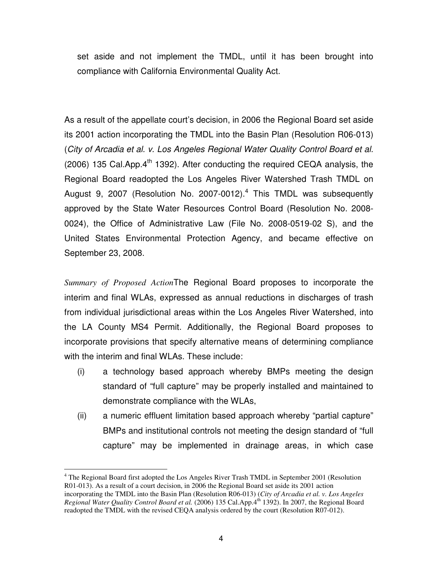set aside and not implement the TMDL, until it has been brought into compliance with California Environmental Quality Act.

As a result of the appellate court's decision, in 2006 the Regional Board set aside its 2001 action incorporating the TMDL into the Basin Plan (Resolution R06-013) (*City of Arcadia et al. v. Los Angeles Regional Water Quality Control Board et al.*  $(2006)$  135 Cal. App.  $4<sup>th</sup>$  1392). After conducting the required CEQA analysis, the Regional Board readopted the Los Angeles River Watershed Trash TMDL on August 9, 2007 (Resolution No. 2007-0012). 4 This TMDL was subsequently approved by the State Water Resources Control Board (Resolution No. 2008- 0024), the Office of Administrative Law (File No. 2008-0519-02 S), and the United States Environmental Protection Agency, and became effective on September 23, 2008.

*Summary of Proposed Action*The Regional Board proposes to incorporate the interim and final WLAs, expressed as annual reductions in discharges of trash from individual jurisdictional areas within the Los Angeles River Watershed, into the LA County MS4 Permit. Additionally, the Regional Board proposes to incorporate provisions that specify alternative means of determining compliance with the interim and final WLAs. These include:

- (i) a technology based approach whereby BMPs meeting the design standard of "full capture" may be properly installed and maintained to demonstrate compliance with the WLAs,
- (ii) a numeric effluent limitation based approach whereby "partial capture" BMPs and institutional controls not meeting the design standard of "full capture" may be implemented in drainage areas, in which case

<sup>4</sup> The Regional Board first adopted the Los Angeles River Trash TMDL in September 2001 (Resolution R01-013). As a result of a court decision, in 2006 the Regional Board set aside its 2001 action incorporating the TMDL into the Basin Plan (Resolution R06-013) (*City of Arcadia et al. v. Los Angeles Regional Water Quality Control Board et al.* (2006) 135 Cal.App.4 th 1392). In 2007, the Regional Board readopted the TMDL with the revised CEQA analysis ordered by the court (Resolution R07-012).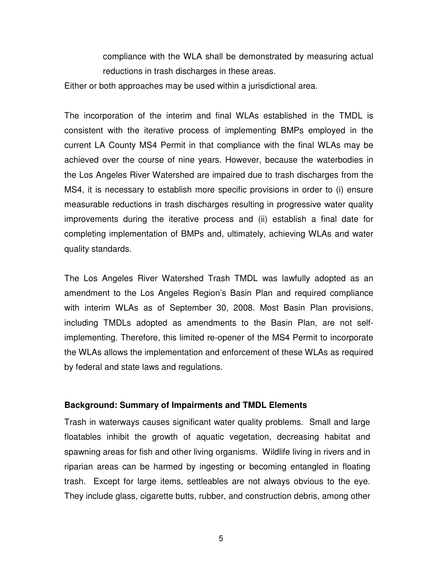compliance with the WLA shall be demonstrated by measuring actual reductions in trash discharges in these areas.

Either or both approaches may be used within a jurisdictional area.

The incorporation of the interim and final WLAs established in the TMDL is consistent with the iterative process of implementing BMPs employed in the current LA County MS4 Permit in that compliance with the final WLAs may be achieved over the course of nine years. However, because the waterbodies in the Los Angeles River Watershed are impaired due to trash discharges from the MS4, it is necessary to establish more specific provisions in order to (i) ensure measurable reductions in trash discharges resulting in progressive water quality improvements during the iterative process and (ii) establish a final date for completing implementation of BMPs and, ultimately, achieving WLAs and water quality standards.

The Los Angeles River Watershed Trash TMDL was lawfully adopted as an amendment to the Los Angeles Region's Basin Plan and required compliance with interim WLAs as of September 30, 2008. Most Basin Plan provisions, including TMDLs adopted as amendments to the Basin Plan, are not selfimplementing. Therefore, this limited re-opener of the MS4 Permit to incorporate the WLAs allows the implementation and enforcement of these WLAs as required by federal and state laws and regulations.

### **Background: Summary of Impairments and TMDL Elements**

Trash in waterways causes significant water quality problems. Small and large floatables inhibit the growth of aquatic vegetation, decreasing habitat and spawning areas for fish and other living organisms. Wildlife living in rivers and in riparian areas can be harmed by ingesting or becoming entangled in floating trash. Except for large items, settleables are not always obvious to the eye. They include glass, cigarette butts, rubber, and construction debris, among other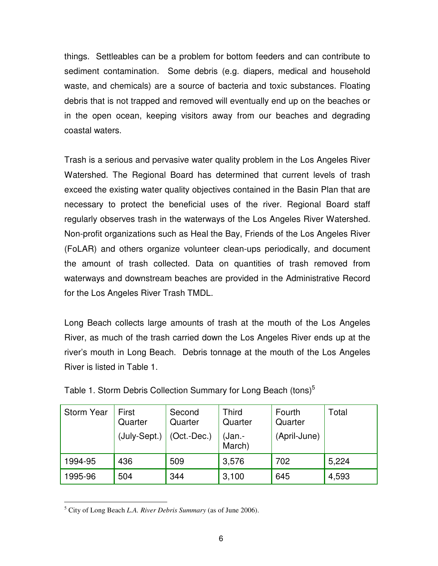things. Settleables can be a problem for bottom feeders and can contribute to sediment contamination. Some debris (e.g. diapers, medical and household waste, and chemicals) are a source of bacteria and toxic substances. Floating debris that is not trapped and removed will eventually end up on the beaches or in the open ocean, keeping visitors away from our beaches and degrading coastal waters.

Trash is a serious and pervasive water quality problem in the Los Angeles River Watershed. The Regional Board has determined that current levels of trash exceed the existing water quality objectives contained in the Basin Plan that are necessary to protect the beneficial uses of the river. Regional Board staff regularly observes trash in the waterways of the Los Angeles River Watershed. Non-profit organizations such as Heal the Bay, Friends of the Los Angeles River (FoLAR) and others organize volunteer clean-ups periodically, and document the amount of trash collected. Data on quantities of trash removed from waterways and downstream beaches are provided in the Administrative Record for the Los Angeles River Trash TMDL.

Long Beach collects large amounts of trash at the mouth of the Los Angeles River, as much of the trash carried down the Los Angeles River ends up at the river's mouth in Long Beach. Debris tonnage at the mouth of the Los Angeles River is listed in Table 1.

| <b>Storm Year</b> | First<br>Quarter<br>(July-Sept.) | Second<br>Quarter<br>$(Oct.-Dec.)$ | Third<br>Quarter<br>(Jan.-<br>March) | Fourth<br>Quarter<br>(April-June) | Total |
|-------------------|----------------------------------|------------------------------------|--------------------------------------|-----------------------------------|-------|
| 1994-95           | 436                              | 509                                | 3,576                                | 702                               | 5,224 |
| 1995-96           | 504                              | 344                                | 3,100                                | 645                               | 4,593 |

<sup>5</sup> City of Long Beach *L.A. River Debris Summary* (as of June 2006).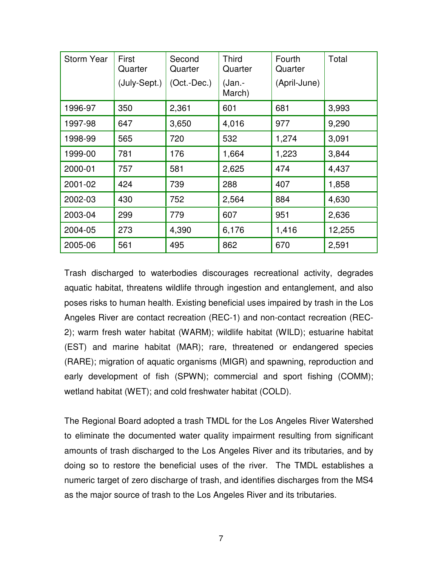| <b>Storm Year</b> | First<br>Quarter | Second<br>Quarter | <b>Third</b><br>Quarter | Fourth<br>Quarter | Total  |
|-------------------|------------------|-------------------|-------------------------|-------------------|--------|
|                   | (July-Sept.)     | $(Oct.-Dec.)$     | (Jan.-<br>March)        | (April-June)      |        |
| 1996-97           | 350              | 2,361             | 601                     | 681               | 3,993  |
| 1997-98           | 647              | 3,650             | 4,016                   | 977               | 9,290  |
| 1998-99           | 565              | 720               | 532                     | 1,274             | 3,091  |
| 1999-00           | 781              | 176               | 1,664                   | 1,223             | 3,844  |
| 2000-01           | 757              | 581               | 2,625                   | 474               | 4,437  |
| 2001-02           | 424              | 739               | 288                     | 407               | 1,858  |
| 2002-03           | 430              | 752               | 2,564                   | 884               | 4,630  |
| 2003-04           | 299              | 779               | 607                     | 951               | 2,636  |
| 2004-05           | 273              | 4,390             | 6,176                   | 1,416             | 12,255 |
| 2005-06           | 561              | 495               | 862                     | 670               | 2,591  |

Trash discharged to waterbodies discourages recreational activity, degrades aquatic habitat, threatens wildlife through ingestion and entanglement, and also poses risks to human health. Existing beneficial uses impaired by trash in the Los Angeles River are contact recreation (REC-1) and non-contact recreation (REC-2); warm fresh water habitat (WARM); wildlife habitat (WILD); estuarine habitat (EST) and marine habitat (MAR); rare, threatened or endangered species (RARE); migration of aquatic organisms (MIGR) and spawning, reproduction and early development of fish (SPWN); commercial and sport fishing (COMM); wetland habitat (WET); and cold freshwater habitat (COLD).

The Regional Board adopted a trash TMDL for the Los Angeles River Watershed to eliminate the documented water quality impairment resulting from significant amounts of trash discharged to the Los Angeles River and its tributaries, and by doing so to restore the beneficial uses of the river. The TMDL establishes a numeric target of zero discharge of trash, and identifies discharges from the MS4 as the major source of trash to the Los Angeles River and its tributaries.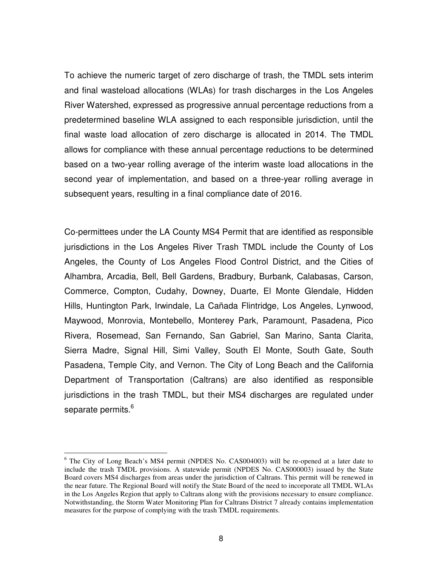To achieve the numeric target of zero discharge of trash, the TMDL sets interim and final wasteload allocations (WLAs) for trash discharges in the Los Angeles River Watershed, expressed as progressive annual percentage reductions from a predetermined baseline WLA assigned to each responsible jurisdiction, until the final waste load allocation of zero discharge is allocated in 2014. The TMDL allows for compliance with these annual percentage reductions to be determined based on a two-year rolling average of the interim waste load allocations in the second year of implementation, and based on a three-year rolling average in subsequent years, resulting in a final compliance date of 2016.

Co-permittees under the LA County MS4 Permit that are identified as responsible jurisdictions in the Los Angeles River Trash TMDL include the County of Los Angeles, the County of Los Angeles Flood Control District, and the Cities of Alhambra, Arcadia, Bell, Bell Gardens, Bradbury, Burbank, Calabasas, Carson, Commerce, Compton, Cudahy, Downey, Duarte, El Monte Glendale, Hidden Hills, Huntington Park, Irwindale, La Cañada Flintridge, Los Angeles, Lynwood, Maywood, Monrovia, Montebello, Monterey Park, Paramount, Pasadena, Pico Rivera, Rosemead, San Fernando, San Gabriel, San Marino, Santa Clarita, Sierra Madre, Signal Hill, Simi Valley, South El Monte, South Gate, South Pasadena, Temple City, and Vernon. The City of Long Beach and the California Department of Transportation (Caltrans) are also identified as responsible jurisdictions in the trash TMDL, but their MS4 discharges are regulated under separate permits.<sup>6</sup>

 $6$  The City of Long Beach's MS4 permit (NPDES No. CAS004003) will be re-opened at a later date to include the trash TMDL provisions. A statewide permit (NPDES No. CAS000003) issued by the State Board covers MS4 discharges from areas under the jurisdiction of Caltrans. This permit will be renewed in the near future. The Regional Board will notify the State Board of the need to incorporate all TMDL WLAs in the Los Angeles Region that apply to Caltrans along with the provisions necessary to ensure compliance. Notwithstanding, the Storm Water Monitoring Plan for Caltrans District 7 already contains implementation measures for the purpose of complying with the trash TMDL requirements.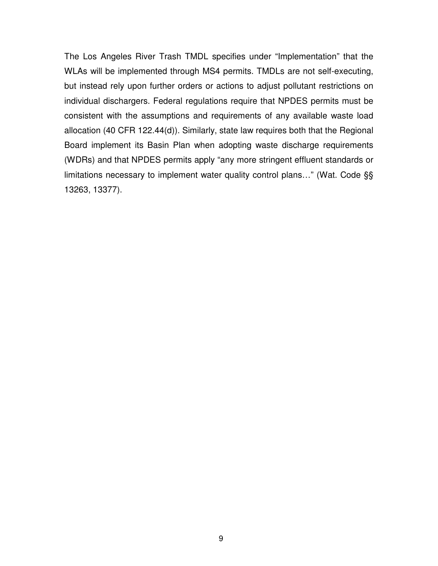The Los Angeles River Trash TMDL specifies under "Implementation" that the WLAs will be implemented through MS4 permits. TMDLs are not self-executing, but instead rely upon further orders or actions to adjust pollutant restrictions on individual dischargers. Federal regulations require that NPDES permits must be consistent with the assumptions and requirements of any available waste load allocation (40 CFR 122.44(d)). Similarly, state law requires both that the Regional Board implement its Basin Plan when adopting waste discharge requirements (WDRs) and that NPDES permits apply "any more stringent effluent standards or limitations necessary to implement water quality control plans…" (Wat. Code §§ 13263, 13377).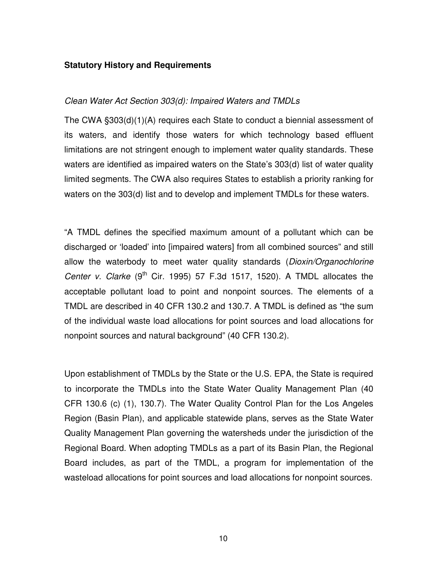### **Statutory History and Requirements**

### *Clean Water Act Section 303(d): Impaired Waters and TMDLs*

The CWA §303(d)(1)(A) requires each State to conduct a biennial assessment of its waters, and identify those waters for which technology based effluent limitations are not stringent enough to implement water quality standards. These waters are identified as impaired waters on the State's 303(d) list of water quality limited segments. The CWA also requires States to establish a priority ranking for waters on the 303(d) list and to develop and implement TMDLs for these waters.

"A TMDL defines the specified maximum amount of a pollutant which can be discharged or 'loaded' into [impaired waters] from all combined sources" and still allow the waterbody to meet water quality standards (*Dioxin/Organochlorine Center v. Clarke* (9<sup>th</sup> Cir. 1995) 57 F.3d 1517, 1520). A TMDL allocates the acceptable pollutant load to point and nonpoint sources. The elements of a TMDL are described in 40 CFR 130.2 and 130.7. A TMDL is defined as "the sum of the individual waste load allocations for point sources and load allocations for nonpoint sources and natural background" (40 CFR 130.2).

Upon establishment of TMDLs by the State or the U.S. EPA, the State is required to incorporate the TMDLs into the State Water Quality Management Plan (40 CFR 130.6 (c) (1), 130.7). The Water Quality Control Plan for the Los Angeles Region (Basin Plan), and applicable statewide plans, serves as the State Water Quality Management Plan governing the watersheds under the jurisdiction of the Regional Board. When adopting TMDLs as a part of its Basin Plan, the Regional Board includes, as part of the TMDL, a program for implementation of the wasteload allocations for point sources and load allocations for nonpoint sources.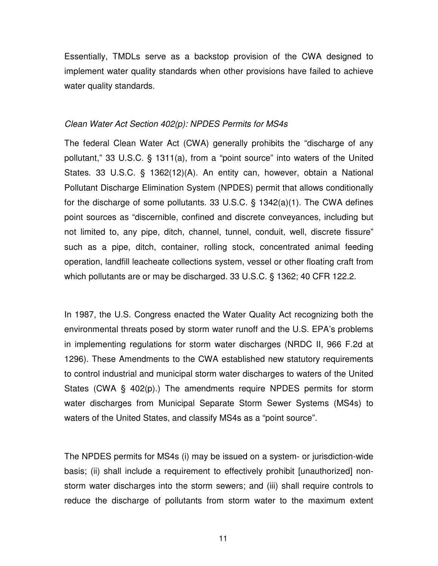Essentially, TMDLs serve as a backstop provision of the CWA designed to implement water quality standards when other provisions have failed to achieve water quality standards.

#### *Clean Water Act Section 402(p): NPDES Permits for MS4s*

The federal Clean Water Act (CWA) generally prohibits the "discharge of any pollutant," 33 U.S.C. § 1311(a), from a "point source" into waters of the United States. 33 U.S.C. § 1362(12)(A). An entity can, however, obtain a National Pollutant Discharge Elimination System (NPDES) permit that allows conditionally for the discharge of some pollutants. 33 U.S.C. § 1342(a)(1). The CWA defines point sources as "discernible, confined and discrete conveyances, including but not limited to, any pipe, ditch, channel, tunnel, conduit, well, discrete fissure" such as a pipe, ditch, container, rolling stock, concentrated animal feeding operation, landfill leacheate collections system, vessel or other floating craft from which pollutants are or may be discharged. 33 U.S.C. § 1362; 40 CFR 122.2.

In 1987, the U.S. Congress enacted the Water Quality Act recognizing both the environmental threats posed by storm water runoff and the U.S. EPA's problems in implementing regulations for storm water discharges (NRDC II, 966 F.2d at 1296). These Amendments to the CWA established new statutory requirements to control industrial and municipal storm water discharges to waters of the United States (CWA § 402(p).) The amendments require NPDES permits for storm water discharges from Municipal Separate Storm Sewer Systems (MS4s) to waters of the United States, and classify MS4s as a "point source".

The NPDES permits for MS4s (i) may be issued on a system- or jurisdiction-wide basis; (ii) shall include a requirement to effectively prohibit [unauthorized] nonstorm water discharges into the storm sewers; and (iii) shall require controls to reduce the discharge of pollutants from storm water to the maximum extent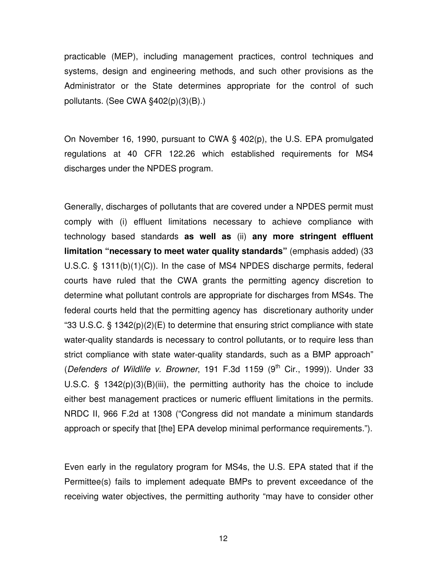practicable (MEP), including management practices, control techniques and systems, design and engineering methods, and such other provisions as the Administrator or the State determines appropriate for the control of such pollutants. (See CWA §402(p)(3)(B).)

On November 16, 1990, pursuant to CWA § 402(p), the U.S. EPA promulgated regulations at 40 CFR 122.26 which established requirements for MS4 discharges under the NPDES program.

Generally, discharges of pollutants that are covered under a NPDES permit must comply with (i) effluent limitations necessary to achieve compliance with technology based standards **as well as** (ii) **any more stringent effluent limitation "necessary to meet water quality standards"** (emphasis added) (33 U.S.C. § 1311(b)(1)(C)). In the case of MS4 NPDES discharge permits, federal courts have ruled that the CWA grants the permitting agency discretion to determine what pollutant controls are appropriate for discharges from MS4s. The federal courts held that the permitting agency has discretionary authority under "33 U.S.C.  $\S$  1342(p)(2)(E) to determine that ensuring strict compliance with state water-quality standards is necessary to control pollutants, or to require less than strict compliance with state water-quality standards, such as a BMP approach" (*Defenders of Wildlife v. Browner*, 191 F.3d 1159 (9 th Cir., 1999)). Under 33 U.S.C. § 1342(p)(3)(B)(iii), the permitting authority has the choice to include either best management practices or numeric effluent limitations in the permits. NRDC II, 966 F.2d at 1308 ("Congress did not mandate a minimum standards approach or specify that [the] EPA develop minimal performance requirements.").

Even early in the regulatory program for MS4s, the U.S. EPA stated that if the Permittee(s) fails to implement adequate BMPs to prevent exceedance of the receiving water objectives, the permitting authority "may have to consider other

12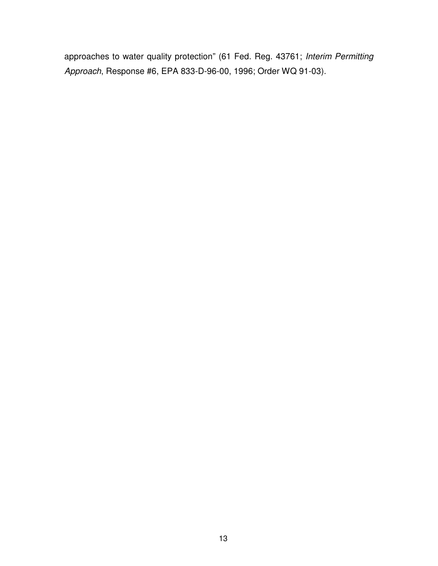approaches to water quality protection" (61 Fed. Reg. 43761; *Interim Permitting Approach*, Response #6, EPA 833-D-96-00, 1996; Order WQ 91-03).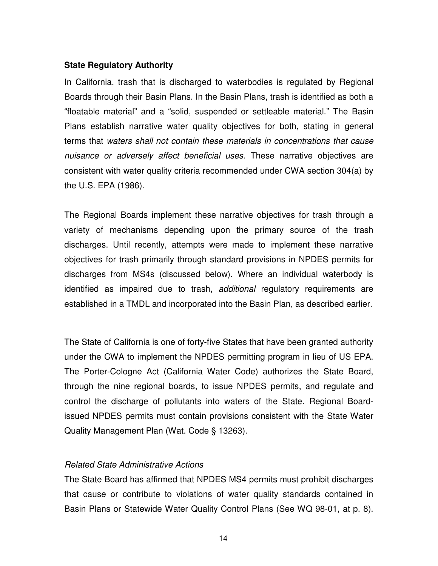### **State Regulatory Authority**

In California, trash that is discharged to waterbodies is regulated by Regional Boards through their Basin Plans. In the Basin Plans, trash is identified as both a "floatable material" and a "solid, suspended or settleable material." The Basin Plans establish narrative water quality objectives for both, stating in general terms that *waters shall not contain these materials in concentrations that cause nuisance or adversely affect beneficial uses*. These narrative objectives are consistent with water quality criteria recommended under CWA section 304(a) by the U.S. EPA (1986).

The Regional Boards implement these narrative objectives for trash through a variety of mechanisms depending upon the primary source of the trash discharges. Until recently, attempts were made to implement these narrative objectives for trash primarily through standard provisions in NPDES permits for discharges from MS4s (discussed below). Where an individual waterbody is identified as impaired due to trash, *additional* regulatory requirements are established in a TMDL and incorporated into the Basin Plan, as described earlier.

The State of California is one of forty-five States that have been granted authority under the CWA to implement the NPDES permitting program in lieu of US EPA. The Porter-Cologne Act (California Water Code) authorizes the State Board, through the nine regional boards, to issue NPDES permits, and regulate and control the discharge of pollutants into waters of the State. Regional Boardissued NPDES permits must contain provisions consistent with the State Water Quality Management Plan (Wat. Code § 13263).

### *Related State Administrative Actions*

The State Board has affirmed that NPDES MS4 permits must prohibit discharges that cause or contribute to violations of water quality standards contained in Basin Plans or Statewide Water Quality Control Plans (See WQ 98-01, at p. 8).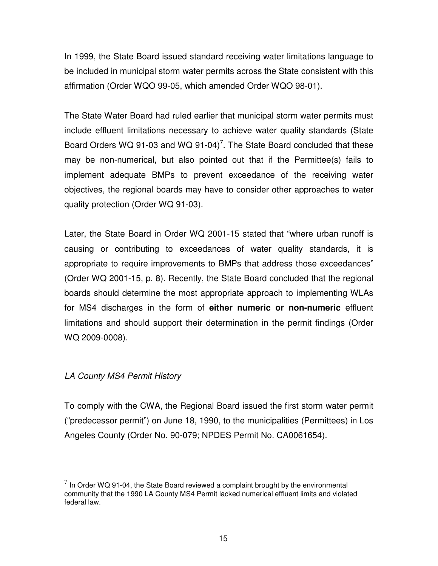In 1999, the State Board issued standard receiving water limitations language to be included in municipal storm water permits across the State consistent with this affirmation (Order WQO 99-05, which amended Order WQO 98-01).

The State Water Board had ruled earlier that municipal storm water permits must include effluent limitations necessary to achieve water quality standards (State Board Orders WQ 91-03 and WQ 91-04)<sup>7</sup>. The State Board concluded that these may be non-numerical, but also pointed out that if the Permittee(s) fails to implement adequate BMPs to prevent exceedance of the receiving water objectives, the regional boards may have to consider other approaches to water quality protection (Order WQ 91-03).

Later, the State Board in Order WQ 2001-15 stated that "where urban runoff is causing or contributing to exceedances of water quality standards, it is appropriate to require improvements to BMPs that address those exceedances" (Order WQ 2001-15, p. 8). Recently, the State Board concluded that the regional boards should determine the most appropriate approach to implementing WLAs for MS4 discharges in the form of **either numeric or non-numeric** effluent limitations and should support their determination in the permit findings (Order WQ 2009-0008).

# *LA County MS4 Permit History*

To comply with the CWA, the Regional Board issued the first storm water permit ("predecessor permit") on June 18, 1990, to the municipalities (Permittees) in Los Angeles County (Order No. 90-079; NPDES Permit No. CA0061654).

 $<sup>7</sup>$  In Order WQ 91-04, the State Board reviewed a complaint brought by the environmental</sup> community that the 1990 LA County MS4 Permit lacked numerical effluent limits and violated federal law.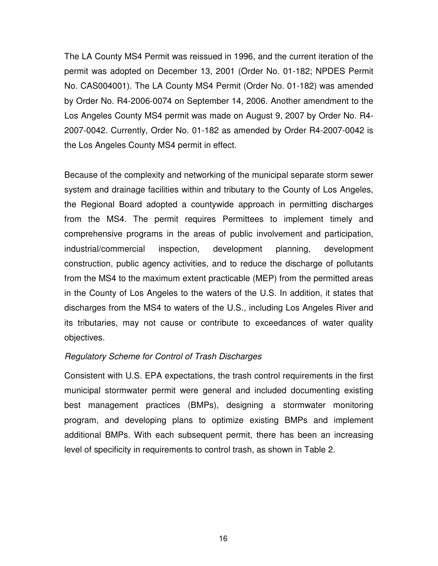The LA County MS4 Permit was reissued in 1996, and the current iteration of the permit was adopted on December 13, 2001 (Order No. 01-182; NPDES Permit No. CAS004001). The LA County MS4 Permit (Order No. 01-182) was amended by Order No. R4-2006-0074 on September 14, 2006. Another amendment to the Los Angeles County MS4 permit was made on August 9, 2007 by Order No. R4- 2007-0042. Currently, Order No. 01-182 as amended by Order R4-2007-0042 is the Los Angeles County MS4 permit in effect.

Because of the complexity and networking of the municipal separate storm sewer system and drainage facilities within and tributary to the County of Los Angeles, the Regional Board adopted a countywide approach in permitting discharges from the MS4. The permit requires Permittees to implement timely and comprehensive programs in the areas of public involvement and participation, industrial/commercial inspection, development planning, development construction, public agency activities, and to reduce the discharge of pollutants from the MS4 to the maximum extent practicable (MEP) from the permitted areas in the County of Los Angeles to the waters of the U.S. In addition, it states that discharges from the MS4 to waters of the U.S., including Los Angeles River and its tributaries, may not cause or contribute to exceedances of water quality objectives.

### *Regulatory Scheme for Control of Trash Discharges*

Consistent with U.S. EPA expectations, the trash control requirements in the first municipal stormwater permit were general and included documenting existing best management practices (BMPs), designing a stormwater monitoring program, and developing plans to optimize existing BMPs and implement additional BMPs. With each subsequent permit, there has been an increasing level of specificity in requirements to control trash, as shown in Table 2.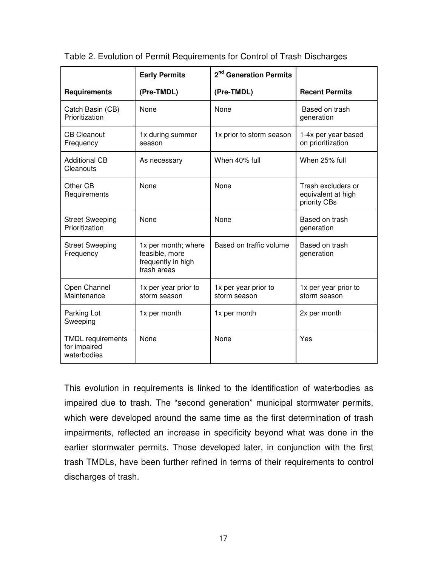|                                                         | <b>Early Permits</b>                                                       | 2 <sup>nd</sup> Generation Permits   |                                                          |
|---------------------------------------------------------|----------------------------------------------------------------------------|--------------------------------------|----------------------------------------------------------|
| <b>Requirements</b>                                     | (Pre-TMDL)                                                                 | (Pre-TMDL)                           | <b>Recent Permits</b>                                    |
| Catch Basin (CB)<br>Prioritization                      | None                                                                       | None                                 | Based on trash<br>generation                             |
| <b>CB Cleanout</b><br>Frequency                         | 1x during summer<br>season                                                 | 1x prior to storm season             | 1-4x per year based<br>on prioritization                 |
| <b>Additional CB</b><br>Cleanouts                       | As necessary                                                               | When 40% full                        | When 25% full                                            |
| Other CB<br>Requirements                                | None                                                                       | None                                 | Trash excluders or<br>equivalent at high<br>priority CBs |
| <b>Street Sweeping</b><br>Prioritization                | None                                                                       | <b>None</b>                          | Based on trash<br>generation                             |
| <b>Street Sweeping</b><br>Frequency                     | 1x per month; where<br>feasible, more<br>frequently in high<br>trash areas | Based on traffic volume              | Based on trash<br>generation                             |
| Open Channel<br>Maintenance                             | 1x per year prior to<br>storm season                                       | 1x per year prior to<br>storm season | 1x per year prior to<br>storm season                     |
| Parking Lot<br>Sweeping                                 | 1x per month                                                               | 1x per month                         | 2x per month                                             |
| <b>TMDL</b> requirements<br>for impaired<br>waterbodies | None                                                                       | None                                 | Yes                                                      |

Table 2. Evolution of Permit Requirements for Control of Trash Discharges

This evolution in requirements is linked to the identification of waterbodies as impaired due to trash. The "second generation" municipal stormwater permits, which were developed around the same time as the first determination of trash impairments, reflected an increase in specificity beyond what was done in the earlier stormwater permits. Those developed later, in conjunction with the first trash TMDLs, have been further refined in terms of their requirements to control discharges of trash.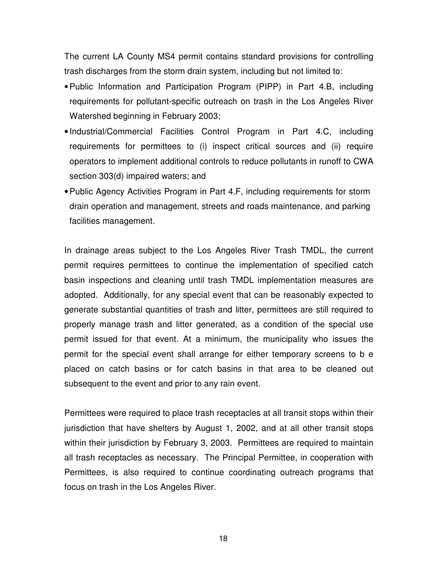The current LA County MS4 permit contains standard provisions for controlling trash discharges from the storm drain system, including but not limited to:

- •Public Information and Participation Program (PIPP) in Part 4.B, including requirements for pollutant-specific outreach on trash in the Los Angeles River Watershed beginning in February 2003;
- Industrial/Commercial Facilities Control Program in Part 4.C, including requirements for permittees to (i) inspect critical sources and (ii) require operators to implement additional controls to reduce pollutants in runoff to CWA section 303(d) impaired waters; and
- •Public Agency Activities Program in Part 4.F, including requirements for storm drain operation and management, streets and roads maintenance, and parking facilities management.

In drainage areas subject to the Los Angeles River Trash TMDL, the current permit requires permittees to continue the implementation of specified catch basin inspections and cleaning until trash TMDL implementation measures are adopted. Additionally, for any special event that can be reasonably expected to generate substantial quantities of trash and litter, permittees are still required to properly manage trash and litter generated, as a condition of the special use permit issued for that event. At a minimum, the municipality who issues the permit for the special event shall arrange for either temporary screens to b e placed on catch basins or for catch basins in that area to be cleaned out subsequent to the event and prior to any rain event.

Permittees were required to place trash receptacles at all transit stops within their jurisdiction that have shelters by August 1, 2002, and at all other transit stops within their jurisdiction by February 3, 2003. Permittees are required to maintain all trash receptacles as necessary. The Principal Permittee, in cooperation with Permittees, is also required to continue coordinating outreach programs that focus on trash in the Los Angeles River.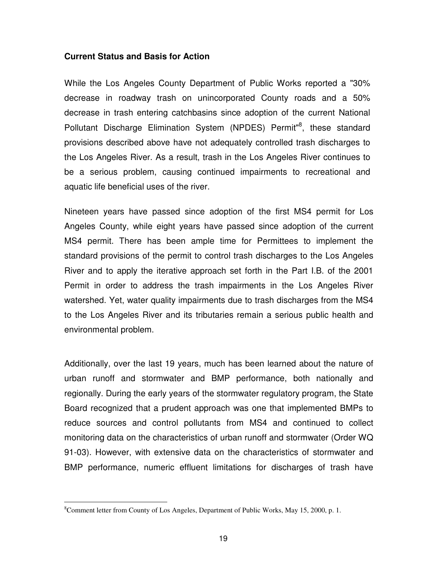### **Current Status and Basis for Action**

While the Los Angeles County Department of Public Works reported a "30% decrease in roadway trash on unincorporated County roads and a 50% decrease in trash entering catchbasins since adoption of the current National Pollutant Discharge Elimination System (NPDES) Permit<sup>"8</sup>, these standard provisions described above have not adequately controlled trash discharges to the Los Angeles River. As a result, trash in the Los Angeles River continues to be a serious problem, causing continued impairments to recreational and aquatic life beneficial uses of the river.

Nineteen years have passed since adoption of the first MS4 permit for Los Angeles County, while eight years have passed since adoption of the current MS4 permit. There has been ample time for Permittees to implement the standard provisions of the permit to control trash discharges to the Los Angeles River and to apply the iterative approach set forth in the Part I.B. of the 2001 Permit in order to address the trash impairments in the Los Angeles River watershed. Yet, water quality impairments due to trash discharges from the MS4 to the Los Angeles River and its tributaries remain a serious public health and environmental problem.

Additionally, over the last 19 years, much has been learned about the nature of urban runoff and stormwater and BMP performance, both nationally and regionally. During the early years of the stormwater regulatory program, the State Board recognized that a prudent approach was one that implemented BMPs to reduce sources and control pollutants from MS4 and continued to collect monitoring data on the characteristics of urban runoff and stormwater (Order WQ 91-03). However, with extensive data on the characteristics of stormwater and BMP performance, numeric effluent limitations for discharges of trash have

<sup>8</sup>Comment letter from County of Los Angeles, Department of Public Works, May 15, 2000, p. 1.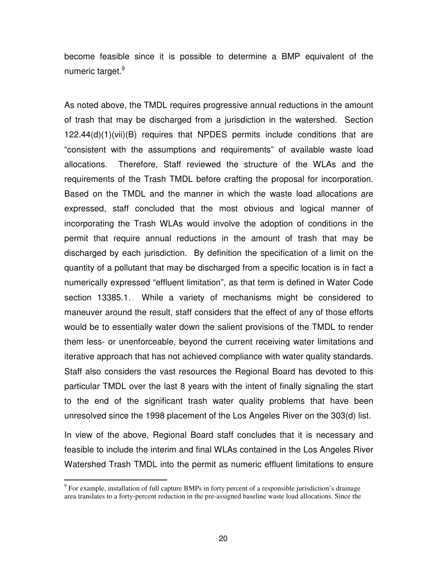become feasible since it is possible to determine a BMP equivalent of the numeric target.<sup>9</sup>

As noted above, the TMDL requires progressive annual reductions in the amount of trash that may be discharged from a jurisdiction in the watershed. Section 122.44(d)(1)(vii)(B) requires that NPDES permits include conditions that are "consistent with the assumptions and requirements" of available waste load allocations. Therefore, Staff reviewed the structure of the WLAs and the requirements of the Trash TMDL before crafting the proposal for incorporation. Based on the TMDL and the manner in which the waste load allocations are expressed, staff concluded that the most obvious and logical manner of incorporating the Trash WLAs would involve the adoption of conditions in the permit that require annual reductions in the amount of trash that may be discharged by each jurisdiction. By definition the specification of a limit on the quantity of a pollutant that may be discharged from a specific location is in fact a numerically expressed "effluent limitation", as that term is defined in Water Code section 13385.1. While a variety of mechanisms might be considered to maneuver around the result, staff considers that the effect of any of those efforts would be to essentially water down the salient provisions of the TMDL to render them less- or unenforceable, beyond the current receiving water limitations and iterative approach that has not achieved compliance with water quality standards. Staff also considers the vast resources the Regional Board has devoted to this particular TMDL over the last 8 years with the intent of finally signaling the start to the end of the significant trash water quality problems that have been unresolved since the 1998 placement of the Los Angeles River on the 303(d) list.

In view of the above, Regional Board staff concludes that it is necessary and feasible to include the interim and final WLAs contained in the Los Angeles River Watershed Trash TMDL into the permit as numeric effluent limitations to ensure

<sup>&</sup>lt;sup>9</sup> For example, installation of full capture BMPs in forty percent of a responsible jurisdiction's drainage area translates to a forty-percent reduction in the pre-assigned baseline waste load allocations. Since the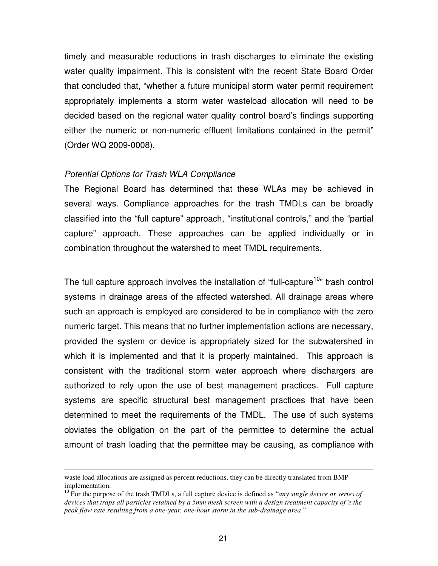timely and measurable reductions in trash discharges to eliminate the existing water quality impairment. This is consistent with the recent State Board Order that concluded that, "whether a future municipal storm water permit requirement appropriately implements a storm water wasteload allocation will need to be decided based on the regional water quality control board's findings supporting either the numeric or non-numeric effluent limitations contained in the permit" (Order WQ 2009-0008).

#### *Potential Options for Trash WLA Compliance*

The Regional Board has determined that these WLAs may be achieved in several ways. Compliance approaches for the trash TMDLs can be broadly classified into the "full capture" approach, "institutional controls," and the "partial capture" approach. These approaches can be applied individually or in combination throughout the watershed to meet TMDL requirements.

The full capture approach involves the installation of "full-capture<sup>10</sup>" trash control systems in drainage areas of the affected watershed. All drainage areas where such an approach is employed are considered to be in compliance with the zero numeric target. This means that no further implementation actions are necessary, provided the system or device is appropriately sized for the subwatershed in which it is implemented and that it is properly maintained. This approach is consistent with the traditional storm water approach where dischargers are authorized to rely upon the use of best management practices. Full capture systems are specific structural best management practices that have been determined to meet the requirements of the TMDL. The use of such systems obviates the obligation on the part of the permittee to determine the actual amount of trash loading that the permittee may be causing, as compliance with

waste load allocations are assigned as percent reductions, they can be directly translated from BMP implementation.

<sup>10</sup> For the purpose of the trash TMDLs, a full capture device is defined as "*any single device or series of* devices that traps all particles retained by a 5mm mesh screen with a design treatment capacity of  $\geq$  the *peak flow rate resulting from a one-year, one-hour storm in the sub-drainage area*."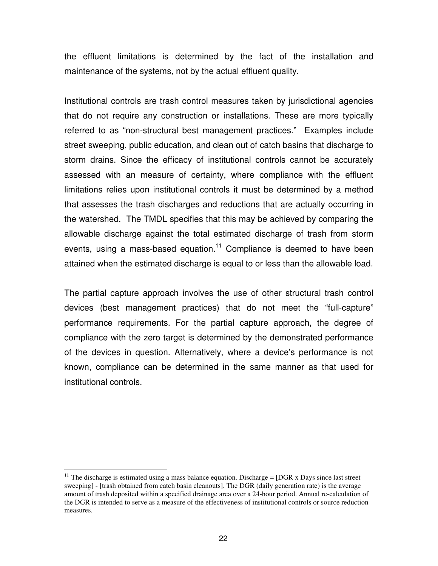the effluent limitations is determined by the fact of the installation and maintenance of the systems, not by the actual effluent quality.

Institutional controls are trash control measures taken by jurisdictional agencies that do not require any construction or installations. These are more typically referred to as "non-structural best management practices." Examples include street sweeping, public education, and clean out of catch basins that discharge to storm drains. Since the efficacy of institutional controls cannot be accurately assessed with an measure of certainty, where compliance with the effluent limitations relies upon institutional controls it must be determined by a method that assesses the trash discharges and reductions that are actually occurring in the watershed. The TMDL specifies that this may be achieved by comparing the allowable discharge against the total estimated discharge of trash from storm events, using a mass-based equation.<sup>11</sup> Compliance is deemed to have been attained when the estimated discharge is equal to or less than the allowable load.

The partial capture approach involves the use of other structural trash control devices (best management practices) that do not meet the "full-capture" performance requirements. For the partial capture approach, the degree of compliance with the zero target is determined by the demonstrated performance of the devices in question. Alternatively, where a device's performance is not known, compliance can be determined in the same manner as that used for institutional controls.

<sup>&</sup>lt;sup>11</sup> The discharge is estimated using a mass balance equation. Discharge =  $[DGR \times Days]$  since last street sweeping] - [trash obtained from catch basin cleanouts]. The DGR (daily generation rate) is the average amount of trash deposited within a specified drainage area over a 24-hour period. Annual re-calculation of the DGR is intended to serve as a measure of the effectiveness of institutional controls or source reduction measures.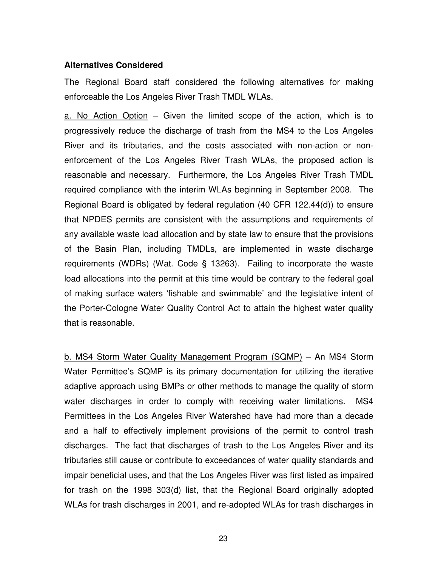### **Alternatives Considered**

The Regional Board staff considered the following alternatives for making enforceable the Los Angeles River Trash TMDL WLAs.

a. No Action Option – Given the limited scope of the action, which is to progressively reduce the discharge of trash from the MS4 to the Los Angeles River and its tributaries, and the costs associated with non-action or nonenforcement of the Los Angeles River Trash WLAs, the proposed action is reasonable and necessary. Furthermore, the Los Angeles River Trash TMDL required compliance with the interim WLAs beginning in September 2008. The Regional Board is obligated by federal regulation (40 CFR 122.44(d)) to ensure that NPDES permits are consistent with the assumptions and requirements of any available waste load allocation and by state law to ensure that the provisions of the Basin Plan, including TMDLs, are implemented in waste discharge requirements (WDRs) (Wat. Code § 13263). Failing to incorporate the waste load allocations into the permit at this time would be contrary to the federal goal of making surface waters 'fishable and swimmable' and the legislative intent of the Porter-Cologne Water Quality Control Act to attain the highest water quality that is reasonable.

b. MS4 Storm Water Quality Management Program (SQMP) – An MS4 Storm Water Permittee's SQMP is its primary documentation for utilizing the iterative adaptive approach using BMPs or other methods to manage the quality of storm water discharges in order to comply with receiving water limitations. MS4 Permittees in the Los Angeles River Watershed have had more than a decade and a half to effectively implement provisions of the permit to control trash discharges. The fact that discharges of trash to the Los Angeles River and its tributaries still cause or contribute to exceedances of water quality standards and impair beneficial uses, and that the Los Angeles River was first listed as impaired for trash on the 1998 303(d) list, that the Regional Board originally adopted WLAs for trash discharges in 2001, and re-adopted WLAs for trash discharges in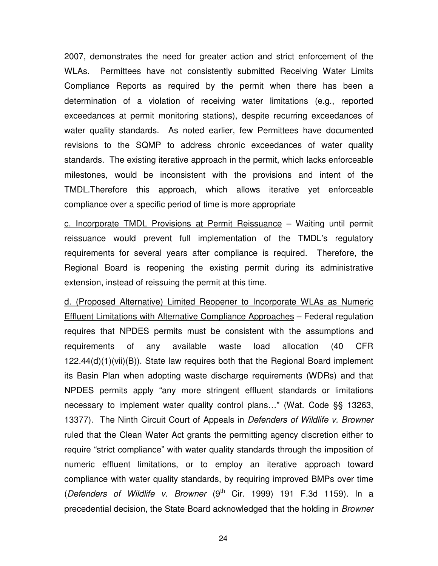2007, demonstrates the need for greater action and strict enforcement of the WLAs. Permittees have not consistently submitted Receiving Water Limits Compliance Reports as required by the permit when there has been a determination of a violation of receiving water limitations (e.g., reported exceedances at permit monitoring stations), despite recurring exceedances of water quality standards. As noted earlier, few Permittees have documented revisions to the SQMP to address chronic exceedances of water quality standards. The existing iterative approach in the permit, which lacks enforceable milestones, would be inconsistent with the provisions and intent of the TMDL.Therefore this approach, which allows iterative yet enforceable compliance over a specific period of time is more appropriate

c. Incorporate TMDL Provisions at Permit Reissuance – Waiting until permit reissuance would prevent full implementation of the TMDL's regulatory requirements for several years after compliance is required. Therefore, the Regional Board is reopening the existing permit during its administrative extension, instead of reissuing the permit at this time.

d. (Proposed Alternative) Limited Reopener to Incorporate WLAs as Numeric Effluent Limitations with Alternative Compliance Approaches – Federal regulation requires that NPDES permits must be consistent with the assumptions and requirements of any available waste load allocation (40 CFR 122.44(d)(1)(vii)(B)). State law requires both that the Regional Board implement its Basin Plan when adopting waste discharge requirements (WDRs) and that NPDES permits apply "any more stringent effluent standards or limitations necessary to implement water quality control plans…" (Wat. Code §§ 13263, 13377). The Ninth Circuit Court of Appeals in *Defenders of Wildlife v. Browner* ruled that the Clean Water Act grants the permitting agency discretion either to require "strict compliance" with water quality standards through the imposition of numeric effluent limitations, or to employ an iterative approach toward compliance with water quality standards, by requiring improved BMPs over time (*Defenders of Wildlife v. Browner* (9 th Cir. 1999) 191 F.3d 1159). In a precedential decision, the State Board acknowledged that the holding in *Browner*

24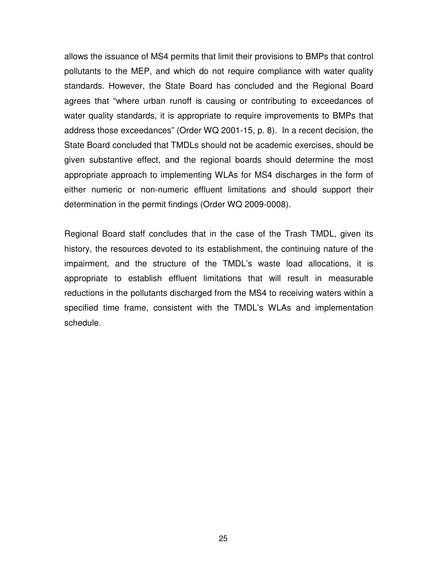allows the issuance of MS4 permits that limit their provisions to BMPs that control pollutants to the MEP, and which do not require compliance with water quality standards. However, the State Board has concluded and the Regional Board agrees that "where urban runoff is causing or contributing to exceedances of water quality standards, it is appropriate to require improvements to BMPs that address those exceedances" (Order WQ 2001-15, p. 8). In a recent decision, the State Board concluded that TMDLs should not be academic exercises, should be given substantive effect, and the regional boards should determine the most appropriate approach to implementing WLAs for MS4 discharges in the form of either numeric or non-numeric effluent limitations and should support their determination in the permit findings (Order WQ 2009-0008).

Regional Board staff concludes that in the case of the Trash TMDL, given its history, the resources devoted to its establishment, the continuing nature of the impairment, and the structure of the TMDL's waste load allocations, it is appropriate to establish effluent limitations that will result in measurable reductions in the pollutants discharged from the MS4 to receiving waters within a specified time frame, consistent with the TMDL's WLAs and implementation schedule.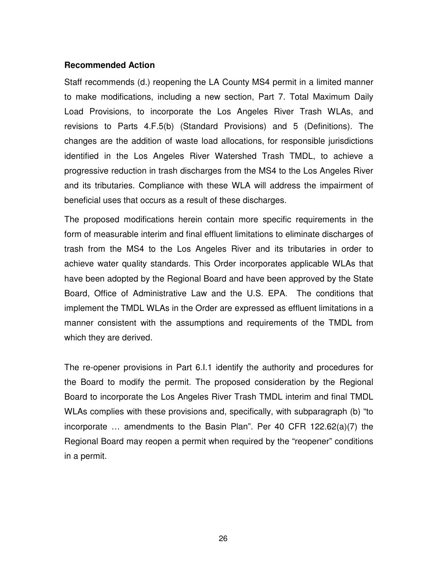### **Recommended Action**

Staff recommends (d.) reopening the LA County MS4 permit in a limited manner to make modifications, including a new section, Part 7. Total Maximum Daily Load Provisions, to incorporate the Los Angeles River Trash WLAs, and revisions to Parts 4.F.5(b) (Standard Provisions) and 5 (Definitions). The changes are the addition of waste load allocations, for responsible jurisdictions identified in the Los Angeles River Watershed Trash TMDL, to achieve a progressive reduction in trash discharges from the MS4 to the Los Angeles River and its tributaries. Compliance with these WLA will address the impairment of beneficial uses that occurs as a result of these discharges.

The proposed modifications herein contain more specific requirements in the form of measurable interim and final effluent limitations to eliminate discharges of trash from the MS4 to the Los Angeles River and its tributaries in order to achieve water quality standards. This Order incorporates applicable WLAs that have been adopted by the Regional Board and have been approved by the State Board, Office of Administrative Law and the U.S. EPA. The conditions that implement the TMDL WLAs in the Order are expressed as effluent limitations in a manner consistent with the assumptions and requirements of the TMDL from which they are derived.

The re-opener provisions in Part 6.I.1 identify the authority and procedures for the Board to modify the permit. The proposed consideration by the Regional Board to incorporate the Los Angeles River Trash TMDL interim and final TMDL WLAs complies with these provisions and, specifically, with subparagraph (b) "to incorporate … amendments to the Basin Plan". Per 40 CFR 122.62(a)(7) the Regional Board may reopen a permit when required by the "reopener" conditions in a permit.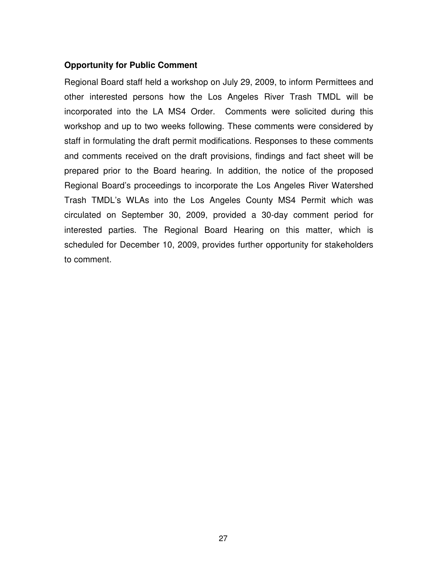## **Opportunity for Public Comment**

Regional Board staff held a workshop on July 29, 2009, to inform Permittees and other interested persons how the Los Angeles River Trash TMDL will be incorporated into the LA MS4 Order. Comments were solicited during this workshop and up to two weeks following. These comments were considered by staff in formulating the draft permit modifications. Responses to these comments and comments received on the draft provisions, findings and fact sheet will be prepared prior to the Board hearing. In addition, the notice of the proposed Regional Board's proceedings to incorporate the Los Angeles River Watershed Trash TMDL's WLAs into the Los Angeles County MS4 Permit which was circulated on September 30, 2009, provided a 30-day comment period for interested parties. The Regional Board Hearing on this matter, which is scheduled for December 10, 2009, provides further opportunity for stakeholders to comment.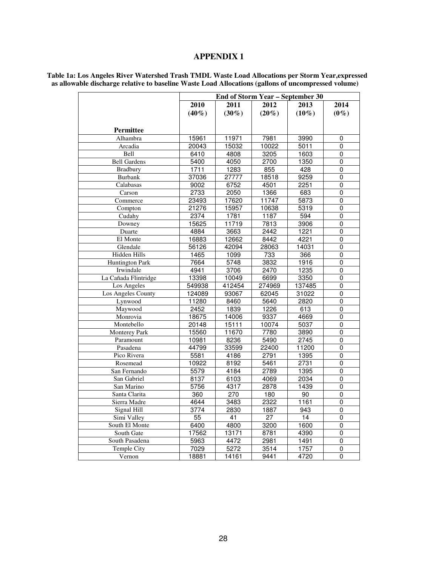## **APPENDIX 1**

|                        |          | <b>End of Storm Year - September 30</b> |                 |          |                |  |
|------------------------|----------|-----------------------------------------|-----------------|----------|----------------|--|
|                        | 2010     | 2011                                    | 2012            | 2013     | 2014           |  |
|                        | $(40\%)$ | $(30\%)$                                | $(20\%)$        | $(10\%)$ | $(0\%)$        |  |
|                        |          |                                         |                 |          |                |  |
| Permittee              |          |                                         |                 |          |                |  |
| Alhambra               | 15961    | 11971                                   | 7981            | 3990     | 0              |  |
| Arcadia                | 20043    | 15032                                   | 10022           | 5011     | 0              |  |
| Bell                   | 6410     | 4808                                    | 3205            | 1603     | $\overline{0}$ |  |
| <b>Bell Gardens</b>    | 5400     | 4050                                    | 2700            | 1350     | 0              |  |
| <b>Bradbury</b>        | 1711     | 1283                                    | 855             | 428      | 0              |  |
| <b>Burbank</b>         | 37036    | 27777                                   | 18518           | 9259     | 0              |  |
| Calabasas              | 9002     | 6752                                    | 4501            | 2251     | 0              |  |
| Carson                 | 2733     | 2050                                    | 1366            | 683      | 0              |  |
| Commerce               | 23493    | 17620                                   | 11747           | 5873     | 0              |  |
| Compton                | 21276    | 15957                                   | 10638           | 5319     | 0              |  |
| Cudahy                 | 2374     | 1781                                    | 1187            | 594      | 0              |  |
| Downey                 | 15625    | 11719                                   | 7813            | 3906     | 0              |  |
| Duarte                 | 4884     | 3663                                    | 2442            | 1221     | 0              |  |
| El Monte               | 16883    | 12662                                   | 8442            | 4221     | 0              |  |
| Glendale               | 56126    | 42094                                   | 28063           | 14031    | 0              |  |
| Hidden Hills           | 1465     | 1099                                    | 733             | 366      | 0              |  |
| <b>Huntington Park</b> | 7664     | 5748                                    | 3832            | 1916     | 0              |  |
| Irwindale              | 4941     | 3706                                    | 2470            | 1235     | 0              |  |
| La Cañada Flintridge   | 13398    | 10049                                   | 6699            | 3350     | 0              |  |
| Los Angeles            | 549938   | 412454                                  | 274969          | 137485   | 0              |  |
| Los Angeles County     | 124089   | 93067                                   | 62045           | 31022    | 0              |  |
| Lynwood                | 11280    | 8460                                    | 5640            | 2820     | 0              |  |
| Maywood                | 2452     | 1839                                    | 1226            | 613      | 0              |  |
| Monrovia               | 18675    | 14006                                   | 9337            | 4669     | $\overline{0}$ |  |
| Montebello             | 20148    | 15111                                   | 10074           | 5037     | 0              |  |
| <b>Monterey Park</b>   | 15560    | 11670                                   | 7780            | 3890     | 0              |  |
| Paramount              | 10981    | 8236                                    | 5490            | 2745     | 0              |  |
| Pasadena               | 44799    | 33599                                   | 22400           | 11200    | 0              |  |
| Pico Rivera            | 5581     | 4186                                    | 2791            | 1395     | 0              |  |
| Rosemead               | 10922    | 8192                                    | 5461            | 2731     | 0              |  |
| San Fernando           | 5579     | 4184                                    | 2789            | 1395     | $\overline{0}$ |  |
| San Gabriel            | 8137     | 6103                                    | 4069            | 2034     | 0              |  |
| San Marino             | 5756     | 4317                                    | 2878            | 1439     | 0              |  |
| Santa Clarita          | 360      | $\overline{270}$                        | 180             | 90       | 0              |  |
| Sierra Madre           | 4644     | 3483                                    | 2322            | 1161     | 0              |  |
| Signal Hill            | 3774     | 2830                                    | 1887            | 943      | 0              |  |
| Simi Valley            | 55       | 41                                      | $\overline{27}$ | 14       | 0              |  |
| South El Monte         | 6400     | 4800                                    | 3200            | 1600     | 0              |  |
| South Gate             | 17562    | 13171                                   | 8781            | 4390     | 0              |  |
| South Pasadena         | 5963     | 4472                                    | 2981            | 1491     | 0              |  |
| Temple City            | 7029     | 5272                                    | 3514            | 1757     | 0              |  |
| Vernon                 | 18881    | 14161                                   | 9441            | 4720     | 0              |  |
|                        |          |                                         |                 |          |                |  |

**Table 1a: Los Angeles River Watershed Trash TMDL Waste Load Allocations per Storm Year,expressed as allowable discharge relative to baseline Waste Load Allocations (gallons of uncompressed volume)**